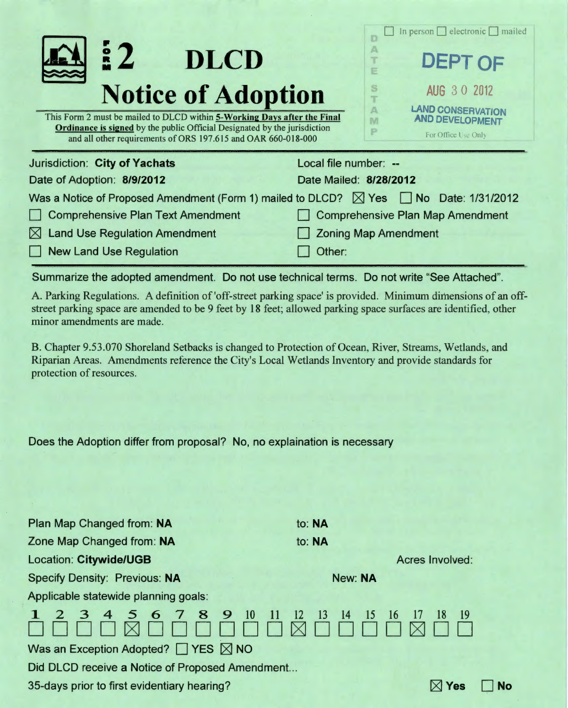| $\frac{2}{5}$<br><b>DLCD</b>                                                                                                                                                                                                                               | electronic<br>mailed<br>$\ln$ person $\ln$<br><b>DEPT OF</b><br>E                              |  |
|------------------------------------------------------------------------------------------------------------------------------------------------------------------------------------------------------------------------------------------------------------|------------------------------------------------------------------------------------------------|--|
| <b>Notice of Adoption</b><br>This Form 2 must be mailed to DLCD within 5-Working Days after the Final<br><b>Ordinance is signed by the public Official Designated by the jurisdiction</b><br>and all other requirements of ORS 197.615 and OAR 660-018-000 | AUG 3 0 2012<br><b>LAND CONSERVATION</b><br>Α<br><b>AND DEVELOPMENT</b><br>For Office Use Only |  |
| Jurisdiction: City of Yachats<br>Local file number: --<br>Date of Adoption: 8/9/2012<br>Date Mailed: 8/28/2012                                                                                                                                             |                                                                                                |  |
| Was a Notice of Proposed Amendment (Form 1) mailed to DLCD? $\boxtimes$ Yes $\Box$ No Date: 1/31/2012                                                                                                                                                      |                                                                                                |  |
| <b>Comprehensive Plan Text Amendment</b>                                                                                                                                                                                                                   | <b>Comprehensive Plan Map Amendment</b>                                                        |  |
| $\boxtimes$ Land Use Regulation Amendment                                                                                                                                                                                                                  | <b>Zoning Map Amendment</b>                                                                    |  |
| New Land Use Regulation                                                                                                                                                                                                                                    | Other:                                                                                         |  |

Summarize the adopted amendment. Do not use technical terms. Do not write "See Attached".

A. Parking Regulations. A definition of 'off-street parking space' is provided. Minimum dimensions of an offstreet parking space are amended to be 9 feet by 18 feet; allowed parking space surfaces are identified, other minor amendments are made.

B. Chapter 9.53.070 Shoreland Setbacks is changed to Protection of Ocean, River, Streams, Wetlands, and Riparian Areas. Amendments reference the City's Local Wetlands Inventory and provide standards for protection of resources.

Does the Adoption differ from proposal? No, no explaination is necessary

| Plan Map Changed from: NA                           | to: NA                                                                            |     |  |
|-----------------------------------------------------|-----------------------------------------------------------------------------------|-----|--|
| Zone Map Changed from: NA                           | to: NA                                                                            |     |  |
| <b>Location: Citywide/UGB</b>                       | <b>Acres Involved:</b>                                                            |     |  |
| <b>Specify Density: Previous: NA</b>                | New: NA                                                                           |     |  |
| Applicable statewide planning goals:                |                                                                                   |     |  |
| 2 3 4 5 6 7 8 9 10                                  | -11<br><sup>12</sup><br>$\overline{13}$<br><sup>14</sup><br>15<br>18<br>16<br>-17 | -19 |  |
| Was an Exception Adopted? $\Box$ YES $\boxtimes$ NO |                                                                                   |     |  |
| Did DLCD receive a Notice of Proposed Amendment     |                                                                                   |     |  |
| 35-days prior to first evidentiary hearing?         |                                                                                   | 'es |  |
|                                                     |                                                                                   |     |  |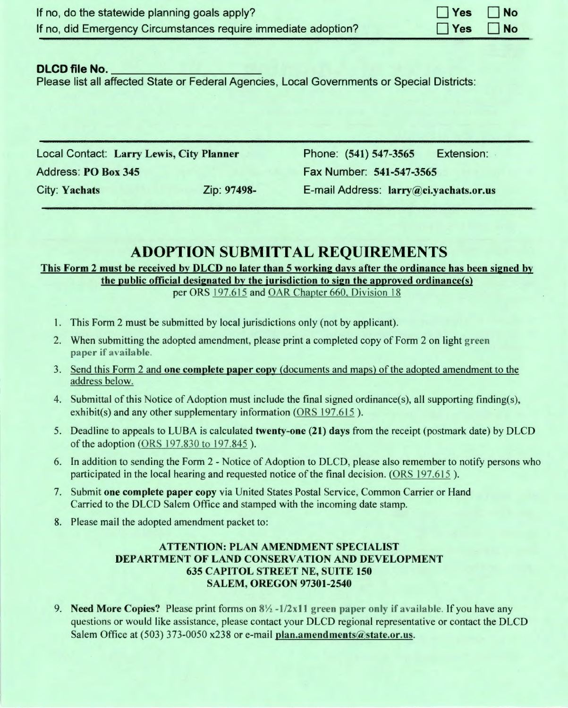| If no, do the statewide planning goals apply?                  | $\Box$ Yes $\Box$ No |  |
|----------------------------------------------------------------|----------------------|--|
| If no, did Emergency Circumstances require immediate adoption? | $\Box$ Yes $\Box$ No |  |
|                                                                |                      |  |

#### **DLCD file No.** 001-12 (19165) [17154]

Please list all affected State or Federal Agencies, Local Governments or Special Districts:

Local Contact: Larry Lewis, City Planner Address: PO Box 345

Phone: (541) 547-3565 Extension: Fax Number: 541-547-3565 City: Yachats Zip: 97498- E-mail Address: larry@ci.yachats.or.us

# **ADOPTION SUBMITTAL REQUIREMENTS**

# This Form 2 must be received by DLCD no later than 5 working days after the ordinance has been signed by

the public official designated by the jurisdiction to sign the approved ordinance(s) per ORS 197.615 and OAR Chapter 660, Division 18

- I. This Form 2 must be submitted by local jurisdictions only (not by applicant).
- 2. When submitting the adopted amendment, please print a completed copy of Form 2 on light green paper if available.
- 3. Send this Form 2 and one complete paper copy (documents and maps) of the adopted amendment to the address below.
- 4. Submittal of this Notice of Adoption must include the final signed ordinance(s), all supporting finding(s), exhibit(s) and any other supplementary information (ORS 197.615).
- 5. Deadline to appeals to LUBA is calculated twenty-one (21) days from the receipt (postmark date) by DLCD of the adoption (ORS 197.830 to 197.845).
- 6. In addition to sending the Form 2 Notice of Adoption to DLCD, please also remember to notify persons who participated in the local hearing and requested notice of the final decision. (ORS 197.615 ).
- 7. Submit one complete paper copy via United States Postal Service, Common Carrier or Hand Carried to the DLCD Salem Office and stamped with the incoming date stamp.
- 8. Please mail the adopted amendment packet to:

## ATTENTION: PLAN AMENDMENT SPECIALIST DEPARTMENT OF LAND CONSERVATION AND DEVELOPMENT 635 CAPITOL STREET NE, SUITE 150 SALEM, OREGON 97301-2540

9. Need More Copies? Please print forms on *8Y2* -1/2x11 green paper only if available. If you have any questions or would like assistance, please contact your DLCD regional representative or contact the DLCD Salem Office at (503) 373-0050 x238 or e-mail plan.amendments@state.or.us.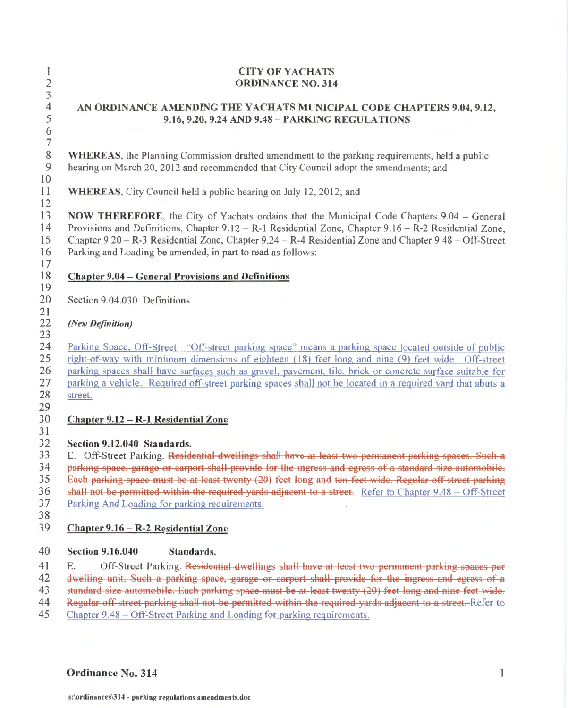## CITY OF YACHATS ORDINANCE NO. 314

## AN ORDINANCE AMENDING THE YACHATS MUNICIPAL CODE CHAPTERS 9.04, 9.12, 9.16, 9.20, 9.24 AND 9.48- PARKING REGULATIONS

WHEREAS, the Planning Commission drafted amendment to the parking requirements, held a public hearing on March 20, 2012 and recommended that City Council adopt the amendments; and

WHEREAS, City Council held a public hearing on July 12, 2012; and

NOW THEREFORE, the City of Yachats ordains that the Municipal Code Chapters 9.04- General Provisions and Definitions, Chapter 9.12 - R-1 Residential Zone, Chapter 9.16 - R-2 Residential Zone, Chapter 9.20- R-3 Residential Zone, Chapter 9.24- R-4 Residential Zone and Chapter 9.48- Off-Street Parking and Loading be amended, in part to read as follows:

## Chapter 9.04 - General Provisions and Definitions

Section 9.04.030 Definitions

## *(New Definition)*

24 25 26 27 28 Parking Space, Off-Street. "Off-street parking space" means a parking space located outside of public right-of-way with minimum dimensions of eighteen (18) feet long and nine (9) feet wide. Off-street parking spaces shall have surfaces such as gravel, pavement, tile, brick or concrete surface suitable for parking a vehicle. Required off-street parking spaces shall not be located in a required yard that abuts a street.

#### 30 Chapter 9.12 - R-1 Residential Zone

#### 32 Section 9.12.040 Standards.

33 34 35 36 E. Off-Street Parking. Residential dwellings shall have at least two permanent parking spaces. Such a parking space, garage or carport shall provide for the ingress and egress of a standard size automobile. Each parking space must be at least twenty (20) feet long and ten feet wide. Regular off street parking shall not be permitted within the required yards adjacent to a street. Refer to Chapter 9.48 - Off-Street

- 37 Parking And Loading for parking requirements.
- 38

31

#### 39 Chapter 9.16 - R-2 Residential Zone

#### 40 Section 9.16.040 Standards.

41 E. Off-Street Parking. Residential dwellings shall have at least two permanent parking spaces per

42 43 dwelling unit. Such a parking space, garage or carport shall provide for the ingress and egress of a

44 standard size automobile. Each parking space must be at least twenty (20) feet long and nine feet wide. Regular off-street parking shall not be permitted within the required yards adjacent to a street. Refer to

- 
- 45 Chapter 9.48 - Off-Street Parking and Loading for parking requirements.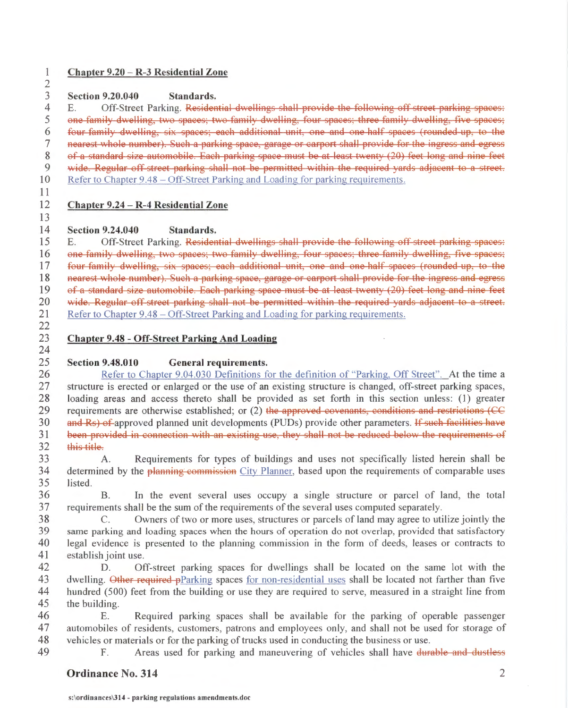#### 1 2

## Chapter 9.20- R-3 Residential Zone

3 Section 9.20.040 Standards.

4 E. Off-Street Parking. Residential dwellings shall provide the following off street parking spaces:

5 6 one family dwelling, two spaces; two family dwelling, four spaces; three family dwelling, five spaces; four family dwelling, six spaces; each additional unit, one and one half spaces (rounded up, to the

- 7 nearest whole number). Sueh a parking spaee, garage or earport shall provide for the ingress and egress
- 8 of a standard size automobile. Eaeh parking spaee must be at least twenty (20) feet long and nine feet
- 9 wide. Regular off street parking shall not be permitted within the required vards adjacent to a street.

10 Refer to Chapter 9.48 – Off-Street Parking and Loading for parking requirements.

11 12

13

24

49

# Chapter 9.24- R-4 Residential Zone

#### 14 Section 9.24.040 Standards.

15 16 17 18 19 20 21 22 E. Off-Street Parking. Residential dwellings shall provide the following off street parking spaces: one family dwelling, two spaces; two family dwelling, four spaces; three family dwelling, five spaces; four family dwelling, six spaces; each additional unit, one and one half spaces (rounded up, to the nearest whole number). Such a parking spaee, garage or earport shall provide for the ingress and egress of a standard size automobile. Each parking space must be at least twenty (20) feet long and nine feet wide. Regular off street parking shall not be permitted within the required yards adjacent to a street. Refer to Chapter 9.48 – Off-Street Parking and Loading for parking requirements.

#### 23 Chapter 9.48 - Off-Street Parking And Loading

#### 25 Section 9.48.010 General requirements.

26 27 28 29 30 31 32 Refer to Chapter 9.04.030 Definitions for the definition of "Parking, Off Street". At the time a structure is erected or enlarged or the use of an existing structure is changed, off-street parking spaces, loading areas and access thereto shall be provided as set forth in this section unless: (1) greater requirements are otherwise established; or (2) the approved covenants, conditions and restrictions (CC and Rs) of approved planned unit developments (PUDs) provide other parameters. If such faeilities have been provided in connection with an existing use, they shall not be reduced below the requirements of this title

33 34 35 A. Requirements for types of buildings and uses not specifically listed herein shall be determined by the planning commission City Planner, based upon the requirements of comparable uses listed.

36 37 B. In the event several uses occupy a single structure or parcel of land, the total requirements shall be the sum of the requirements of the several uses computed separately.

38 39 40 41 C. Owners of two or more uses, structures or parcels of land may agree to utilize jointly the same parking and loading spaces when the hours of operation do not overlap, provided that satisfactory legal evidence is presented to the planning commission in the form of deeds, leases or contracts to establish joint use.

42 43 44 45 D. Off-street parking spaces for dwellings shall be located on the same lot with the dwelling. Other required pParking spaces for non-residential uses shall be located not farther than five hundred (500) feet from the building or use they are required to serve, measured in a straight line from the building.

46 47 48 E. Required parking spaces shall be available for the parking of operable passenger automobiles of residents, customers, patrons and employees only, and shall not be used for storage of vehicles or materials or for the parking of trucks used in conducting the business or use.

F. Areas used for parking and maneuvering of vehicles shall have durable and dustless

# **Ordinance No. 314** 2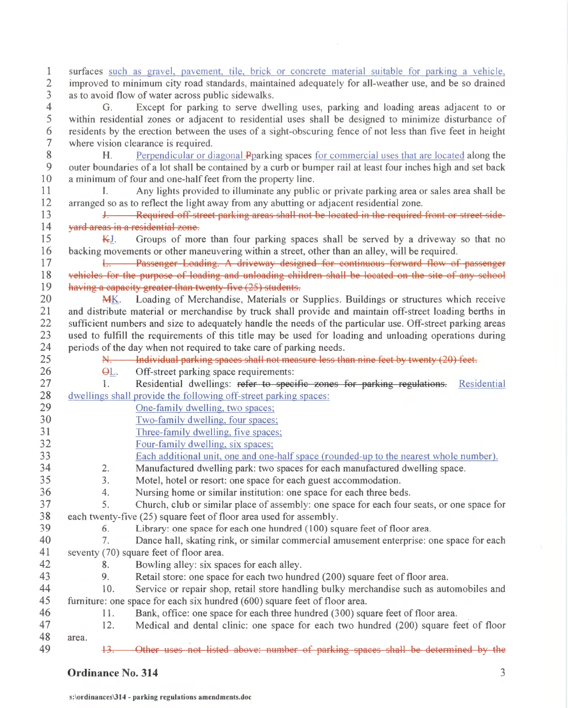1 2 3 4 5 surfaces such as gravel, pavement, tile, brick or concrete material suitable for parking a vehicle. improved to minimum city road standards, maintained adequately for all-weather use, and be so drained as to avoid flow of water across public sidewalks. G. Except for parking to serve dwelling uses, parking and loading areas adjacent to or within residential zones or adjacent to residential uses shall be designed to minimize disturbance of

6 7 residents by the erection between the uses of a sight-obscuring fence of not less than five feet in height where vision clearance is required.

8 9 10 H. Perpendicular or diagonal Pparking spaces for commercial uses that are located along the outer boundaries of a lot shall be contained by a curb or bumper rail at least four inches high and set back a minimum of four and one-half feet from the property line.

11 12 I. Any lights provided to illuminate any public or private parking area or sales area shall be arranged so as to reflect the light away from any abutting or adjacent residential zone.

13 14 **J. Required off street parking areas shall not be located in the required front or street side**vard areas in a residential zone.

15 16  $K_J$ . Groups of more than four parking spaces shall be served by a driveway so that no backing movements or other maneuvering within a street, other than an alley, will be required.

17 18 19 **L. Passenger Loading. A driveway designed for continuous forward flow of passenger** vehicles for the purpose of loading and unloading children shall be located on the site of any school having a capacity greater than twenty five (25) students.

20 21 22 23 24 25 MK. Loading of Merchandise, Materials or Supplies. Buildings or structures which receive and distribute material or merchandise by truck shall provide and maintain off-street loading berths in sufficient numbers and size to adequately handle the needs of the particular use. Off-street parking areas used to fulfill the requirements of this title may be used for loading and unloading operations during periods of the day when not required to take care of parking needs.

- N. Individual parking spaces shall not measure less than nine feet by twenty (20) feet.
	- G1\_. Off-street parking space requirements:
- 27 28 1. Residential dwellings: refer to specific zones for parking regulations. Residential dwellings shall provide the following off-street parking spaces:
- 29 30 One-family dwelling, two spaces;

26

42 43

49

- Two-family dwelling, four spaces;
	- Three-family dwelling, five spaces;
	- Four-family dwelling, six spaces;
		- Each additional unit, one and one-half space (rounded-up to the nearest whole number).
	- 2. Manufactured dwelling park: two spaces for each manufactured dwelling space.
- 3. Motel, hotel or resort: one space for each guest accommodation.
	- 4. Nursing home or similar institution: one space for each three beds.
- 37 38 5. Church, club or similar place of assembly: one space for each four seats, or one space for each twenty-five (25) square feet of floor area used for assembly.
- 39 6. Library: one space for each one hundred (100) square feet of floor area.
- 40 41 7. Dance hall, skating rink, or similar commercial amusement enterprise: one space for each seventy (70) square feet of floor area.
	- 8. Bowling alley: six spaces for each alley.
	- 9. Retail store: one space for each two hundred (200) square feet of floor area.
- 44 45 10. Service or repair shop, retail store handling bulky merchandise such as automobiles and furniture: one space for each six hundred (600) square feet of floor area.
- 46 11. Bank, office: one space for each three hundred (300) square feet of floor area. .
- 47 48 12. Medical and dental clinic: one space for each two hundred (200) square feet of floor area.
	- 13. Other not listed above: number of parking spaces shall be determined by the

## **Ordinance** No. 314 **3**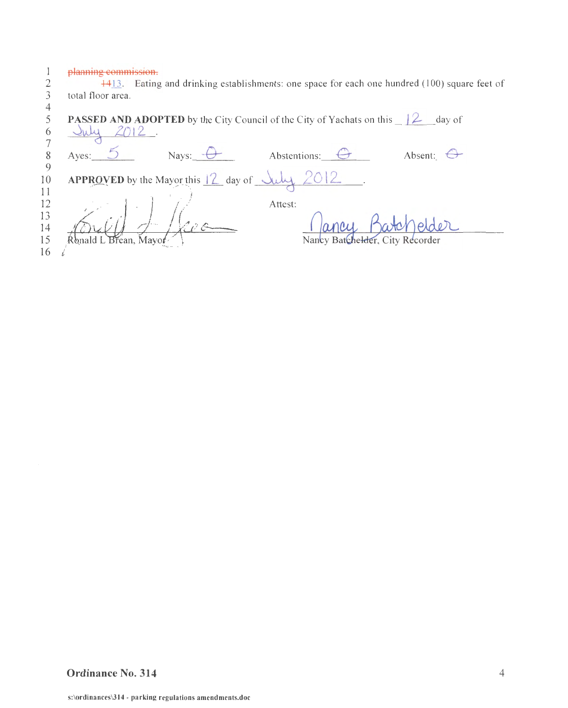planning commission.

| day of                          |
|---------------------------------|
|                                 |
|                                 |
|                                 |
|                                 |
|                                 |
| Absent: $\bigoplus$             |
|                                 |
|                                 |
|                                 |
|                                 |
|                                 |
| elder                           |
| Nancy Batchelder, City Recorder |
|                                 |
|                                 |

## **Ordinance No. 314** 4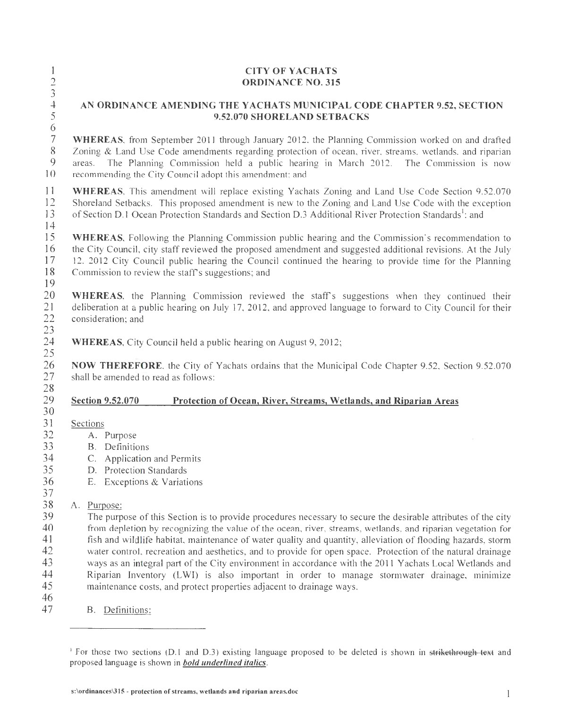|                                                                                                        | <b>CITY OF YACHATS</b><br><b>ORDINANCE NO. 315</b>                                                                                                                                                                                                                                                                                                                                                                                                                                                                                                                                                                                                                                                                                                                                                                                                                                                        |  |  |  |
|--------------------------------------------------------------------------------------------------------|-----------------------------------------------------------------------------------------------------------------------------------------------------------------------------------------------------------------------------------------------------------------------------------------------------------------------------------------------------------------------------------------------------------------------------------------------------------------------------------------------------------------------------------------------------------------------------------------------------------------------------------------------------------------------------------------------------------------------------------------------------------------------------------------------------------------------------------------------------------------------------------------------------------|--|--|--|
| $\frac{1}{2}$ $\frac{2}{3}$ $\frac{3}{4}$ $\frac{4}{5}$ $\frac{6}{6}$                                  | AN ORDINANCE AMENDING THE YACHATS MUNICIPAL CODE CHAPTER 9.52, SECTION<br>9.52.070 SHORELAND SETBACKS                                                                                                                                                                                                                                                                                                                                                                                                                                                                                                                                                                                                                                                                                                                                                                                                     |  |  |  |
| $\overline{\mathcal{I}}$<br>$8\,$<br>$\mathbf{9}$<br>10                                                | WHEREAS, from September 2011 through January 2012, the Planning Commission worked on and drafted<br>Zoning & Land Use Code amendments regarding protection of ocean, river, streams, wetlands, and riparian<br>The Planning Commission held a public hearing in March 2012. The Commission is now<br>areas.<br>recommending the City Council adopt this amendment; and                                                                                                                                                                                                                                                                                                                                                                                                                                                                                                                                    |  |  |  |
| 11<br>12<br>13<br>14                                                                                   | <b>WHEREAS.</b> This amendment will replace existing Yachats Zoning and Land Use Code Section 9.52.070<br>Shoreland Setbacks. This proposed amendment is new to the Zoning and Land Use Code with the exception<br>of Section D.1 Ocean Protection Standards and Section D.3 Additional River Protection Standards <sup>1</sup> : and                                                                                                                                                                                                                                                                                                                                                                                                                                                                                                                                                                     |  |  |  |
| 15<br>16<br>17<br>18<br>19                                                                             | WHEREAS, Following the Planning Commission public hearing and the Commission's recommendation to<br>the City Council, city staff reviewed the proposed amendment and suggested additional revisions. At the July<br>12. 2012 City Council public hearing the Council continued the hearing to provide time for the Planning<br>Commission to review the staff's suggestions; and                                                                                                                                                                                                                                                                                                                                                                                                                                                                                                                          |  |  |  |
| 20<br>21<br>22<br>23                                                                                   | WHEREAS, the Planning Commission reviewed the staff's suggestions when they continued their<br>deliberation at a public hearing on July 17, 2012, and approved language to forward to City Council for their<br>consideration; and                                                                                                                                                                                                                                                                                                                                                                                                                                                                                                                                                                                                                                                                        |  |  |  |
| 24<br>25                                                                                               | <b>WHEREAS</b> , City Council held a public hearing on August 9, 2012;                                                                                                                                                                                                                                                                                                                                                                                                                                                                                                                                                                                                                                                                                                                                                                                                                                    |  |  |  |
| 26<br>27<br>28                                                                                         | NOW THEREFORE, the City of Yachats ordains that the Municipal Code Chapter 9.52, Section 9.52.070<br>shall be amended to read as follows:                                                                                                                                                                                                                                                                                                                                                                                                                                                                                                                                                                                                                                                                                                                                                                 |  |  |  |
| 29                                                                                                     | <b>Section 9.52.070</b><br>Protection of Ocean, River, Streams, Wetlands, and Riparian Areas                                                                                                                                                                                                                                                                                                                                                                                                                                                                                                                                                                                                                                                                                                                                                                                                              |  |  |  |
| 30<br>31<br>32<br>33<br>34<br>35<br>36<br>37<br>$38\,$<br>39<br>40<br>41<br>42<br>43<br>44<br>45<br>46 | Sections<br>A. Purpose<br><b>B.</b> Definitions<br>C. Application and Permits<br>D. Protection Standards<br>E. Exceptions & Variations<br>Purpose:<br>А.<br>The purpose of this Section is to provide procedures necessary to secure the desirable attributes of the city<br>from depletion by recognizing the value of the ocean, river, streams, wetlands, and riparian vegetation for<br>fish and wildlife habitat, maintenance of water quality and quantity, alleviation of flooding hazards, storm<br>water control, recreation and aesthetics, and to provide for open space. Protection of the natural drainage<br>ways as an integral part of the City environment in accordance with the 2011 Yachats Local Wetlands and<br>Riparian Inventory (LWI) is also important in order to manage stormwater drainage, minimize<br>maintenance costs, and protect properties adjacent to drainage ways. |  |  |  |
| 47                                                                                                     | B. Definitions:                                                                                                                                                                                                                                                                                                                                                                                                                                                                                                                                                                                                                                                                                                                                                                                                                                                                                           |  |  |  |

<sup>&#</sup>x27; For those two sections (D.1 and D.3) existing language proposed to be deleted is shown in <del>strikethrough text</del> and proposed language is shown in *bold underlined italics.*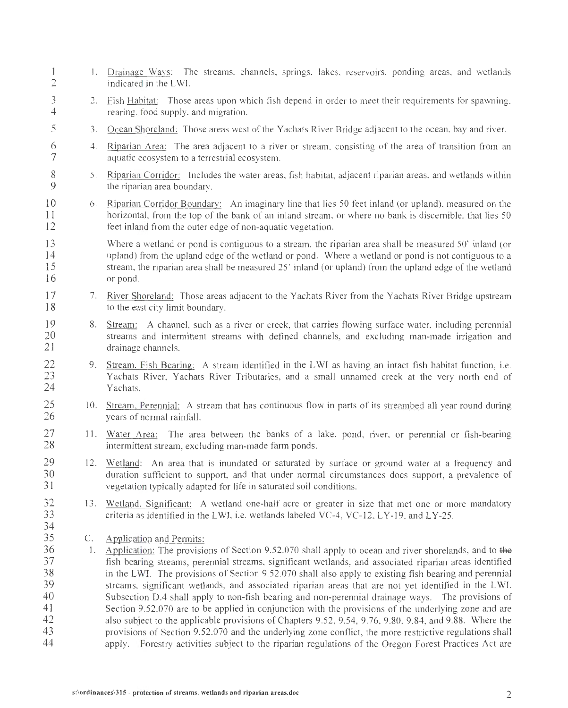1 1. Drainage Ways: The streams, channels, springs, lakes, reservoirs, ponding areas, and wetlands 2 indicated in the LW1. 3 2. Fish Habitat: Those areas upon which fish depend in order to meet their requirements for spawning, 4 rearing, food supply, and migration. 5 3. Ocean Shoreland: Those areas west of the Yachats River Bridge adjacent to the ocean, bay and river. 6 4. Riparian Area: The area adjacent to a river or stream, consisting of the area of transition from an 7 aquatic ecosystem to a terrestrial ecosystem. 8 5. Riparian Corridor: Includes the water areas, fish habitat, adjacent riparian areas, and wetlands within 9 the riparian area boundary. 10 6. Riparian Corridor Boundary: An imaginary line that lies 50 feet inland (or upland), measured on the 11 horizontal, from the top of the bank of an inland stream, or where no bank is discernible, that lies 50 12 feet inland from the outer edge of non-aquatic vegetation. 13 14 15 16 Where a wetland or pond is contiguous to a stream, the riparian area shall be measured 50' inland (or upland) from the upland edge of the wetland or pond. Where a wetland or pond is not contiguous to a stream, the riparian area shall be measured 25 ' inland (or upland) from the upland edge of the wetland or pond. 17 7. River Shoreland: Those areas adjacent to the Yachats River from the Yachats River Bridge upstream 18 to the east city limit boundary. 19 8. Stream: A channel, such as a river or creek, that carries flowing surface water, including perennial 20 streams and intermittent streams with defined channels, and excluding man-made irrigation and 21 drainage channels. 22 9. Stream, Fish Bearing: A stream identified in the LWI as having an intact fish habitat function, i.e. 23 Yachats River, Yachats River Tributaries, and a small unnamed creek at the very north end of 24 Yachats. 25 10. Stream, Perennial: A stream that has continuous flow in parts of its streambed all year round during 26 years of normal rainfall. 27 11. Water Area: The area between the banks of a lake, pond, river, or perennial or fish-bearing 28 intermittent stream, excluding man-made farm ponds. 29 12. Wetland: An area that is inundated or saturated by surface or ground water at a frequency and 30 duration sufficient to support, and that under normal circumstances does support, a prevalence of 31 vegetation typically adapted for life in saturated soil conditions. 32 13. Wetland, Significant: A wetland one-half acre or greater in size that met one or more mandatory 33 criteria as identified in the LWI, i.e. wetlands labeled VC-4, VC-12, LY-19, and LY-25. 34 35 C. Application and Permits: 36 1. Application: The provisions of Section 9.52.070 shall apply to ocean and river shorelands, and to the 37 fish bearing streams, perennial streams, significant wetlands, and associated riparian areas identified 38 in the LWI. The provisions of Section 9.52.070 shall also apply to existing fish bearing and perennial 39 streams, significant wetlands, and associated riparian areas that are not yet identified in the L WI. 40 Subsection 0.4 shall apply to non-fish bearing and non-perennial drainage ways. The provisions of 41 Section 9.52.070 are to be applied in conjunction with the provisions of the underlying zone and are 42 also subject to the applicable provisions of Chapters 9.52, 9.54, 9.76, 9.80, 9.84, and 9.88. Where the 43 provisions of Section 9.52.070 and the underlying zone conflict, the more restrictive regulations shall 44 apply. Forestry activities subject to the riparian regulations of the Oregon Forest Practices Act are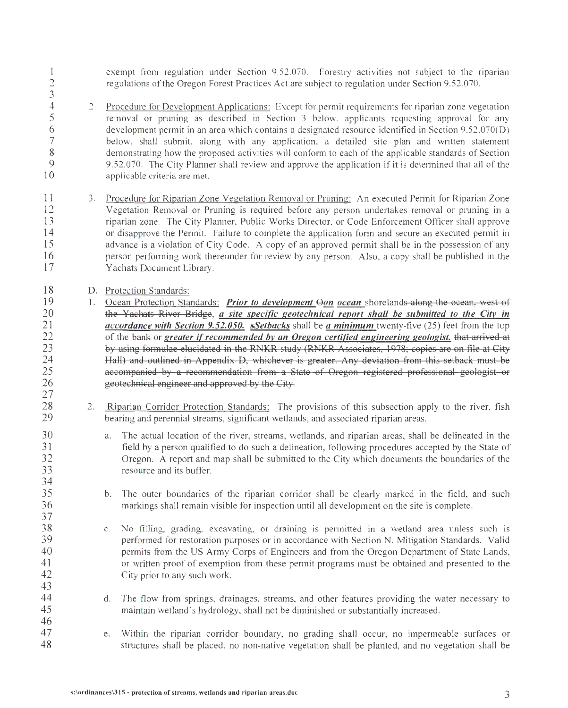exempt from regulation under Section 9.52.070. Forestry activities not subject to the riparian regulations of the Oregon Forest Practices Act are subject to regulation under Section 9.52 .070.

I  $\overline{2}$ 3

<sup>2</sup> 2. <u>Procedure for Development Applications:</u> Except for permit requirements for riparian zone vegetation<br>5 **2. Procedure for pruning as described in Section 3 below, applicants requesting approval for any**  $5$  removal or pruning as described in Section 3 below, applicants requesting approval for any development permit in an area which contains a designated resource identified in Section 9.52.070(D) 6 development permit in an area which contains a designated resource identified in Section 9.52.070(D) 7 below, shall submit, along with any application, a detailed site plan and written statement<br>8 demonstrating how the proposed activities will conform to each of the applicable standards of Section 8 demonstrating how the proposed activities will conform to each of the applicable standards of Section 9 9.52.070. The City Planner shall review and approve the application if it is determined that all of the 10 applicable criteria are met.

- 11 3. Procedure for Riparian Zone Vegetation Removal or Pruning: An executed Permit for Riparian Zone 12 Vegetation Removal or Pruning is required before any person undertakes removal or pruning in a<br>13 minimarian zone. The City Planner, Public Works Director, or Code Enforcement Officer shall approve riparian zone. The City Planner, Public Works Director, or Code Enforcement Officer shall approve I4 or disapprove the Permit. Failure to complete the application form and secure an executed permit in 15 advance is a violation of City Code. A copy of an approved permit shall be in the possession of any I6 person performing work thereunder for review by any person. Also, a copy shall be published in the 17 Yachats Document Library.
- I8 I9 D. Protection Standards:
	- I. Ocean Protection Standards: *Prior to development Gon ocean* shorelands along the ocean, west of the Yachats River Bridge, *a site specific geotechnical report shall be submitted to the City in accordance with Section 9.52.050. sSetbacks* shall be *a minimum* twenty-five (25) feet from the top of the bank or *greater* if *recommended bv an Oregon certified engineering geologist.* that arrived at by using formulae elucidated in the RNKR study (RNKR Associates, 1978; copies are on file at City Hall) and outlined in Appendix D, whichever is greater. Any deviation from this setback must be accompanied by a recommendation from a State of Oregon registered professional geologist or geotechnical engineer and approved by the City.
		- 2. Riparian Corridor Protection Standards: The provisions of this subsection apply to the river, fish bearing and perennial streams, significant wetlands, and associated riparian areas.
			- a. The actual location of the river, streams, wetlands, and riparian areas, shall be delineated in the field by a person qualified to do such a delineation, following procedures accepted by the State of Oregon. A report and map shall be submitted to the City which documents the boundaries of the resource and its buffer.
			- b. The outer boundaries of the riparian corridor shall be clearly marked in the field, and such markings shall remain visible for inspection until all development on the site is complete.
			- c. No filling, grading, excavating, or draining is permitted in a wetland area unless such is performed for restoration purposes or in accordance with Section N. Mitigation Standards. Valid permits from the US Army Corps of Engineers and from the Oregon Department of State Lands, or written proof of exemption from these permit programs must be obtained and presented to the City prior to any such work.
			- d. The flow from springs, drainages, streams, and other features providing the water necessary to maintain wetland 's hydrology, shall not be diminished or substantially increased.
		- e. Within the riparian corridor boundary, no grading shall occur, no impermeable surfaces or structures shall be placed, no non-native vegetation shall be planted, and no vegetation shall be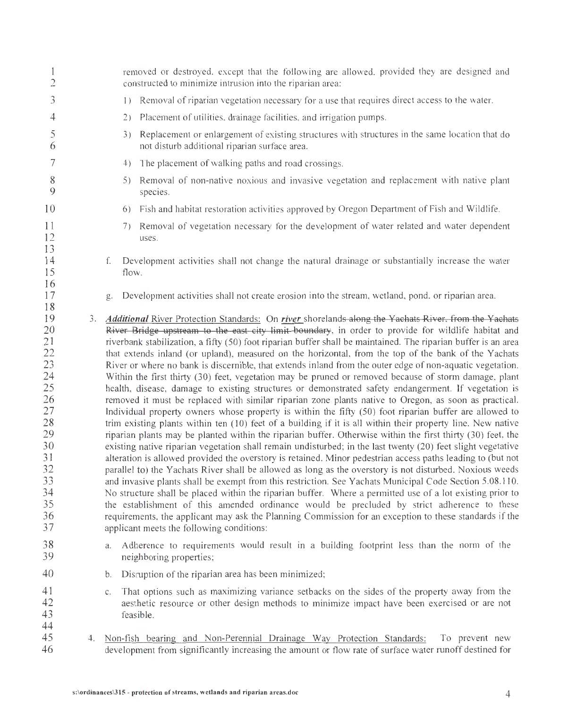| $\overline{c}$                                                                                                 |    | removed or destroyed, except that the following are allowed, provided they are designed and<br>constructed to minimize intrusion into the riparian area:                                                                                                                                                                                                                                                                                                                                                                                                                                                                                                                                                                                                                                                                                                                                                                                                                                                                                                                                                                                                                                                                                                                                                                                                                                                                                                                                                                                                                                                                                                                                                                                                                                                                                                                                                                                                                                                                                      |  |  |
|----------------------------------------------------------------------------------------------------------------|----|-----------------------------------------------------------------------------------------------------------------------------------------------------------------------------------------------------------------------------------------------------------------------------------------------------------------------------------------------------------------------------------------------------------------------------------------------------------------------------------------------------------------------------------------------------------------------------------------------------------------------------------------------------------------------------------------------------------------------------------------------------------------------------------------------------------------------------------------------------------------------------------------------------------------------------------------------------------------------------------------------------------------------------------------------------------------------------------------------------------------------------------------------------------------------------------------------------------------------------------------------------------------------------------------------------------------------------------------------------------------------------------------------------------------------------------------------------------------------------------------------------------------------------------------------------------------------------------------------------------------------------------------------------------------------------------------------------------------------------------------------------------------------------------------------------------------------------------------------------------------------------------------------------------------------------------------------------------------------------------------------------------------------------------------------|--|--|
| 3                                                                                                              |    | Removal of riparian vegetation necessary for a use that requires direct access to the water.<br>$\left  \ \right $                                                                                                                                                                                                                                                                                                                                                                                                                                                                                                                                                                                                                                                                                                                                                                                                                                                                                                                                                                                                                                                                                                                                                                                                                                                                                                                                                                                                                                                                                                                                                                                                                                                                                                                                                                                                                                                                                                                            |  |  |
| 4                                                                                                              |    | Placement of utilities, drainage facilities, and irrigation pumps.<br>2)                                                                                                                                                                                                                                                                                                                                                                                                                                                                                                                                                                                                                                                                                                                                                                                                                                                                                                                                                                                                                                                                                                                                                                                                                                                                                                                                                                                                                                                                                                                                                                                                                                                                                                                                                                                                                                                                                                                                                                      |  |  |
| 5<br>6                                                                                                         |    | Replacement or enlargement of existing structures with structures in the same location that do<br>3)<br>not disturb additional riparian surface area.                                                                                                                                                                                                                                                                                                                                                                                                                                                                                                                                                                                                                                                                                                                                                                                                                                                                                                                                                                                                                                                                                                                                                                                                                                                                                                                                                                                                                                                                                                                                                                                                                                                                                                                                                                                                                                                                                         |  |  |
| 7                                                                                                              |    | The placement of walking paths and road crossings.<br>4)                                                                                                                                                                                                                                                                                                                                                                                                                                                                                                                                                                                                                                                                                                                                                                                                                                                                                                                                                                                                                                                                                                                                                                                                                                                                                                                                                                                                                                                                                                                                                                                                                                                                                                                                                                                                                                                                                                                                                                                      |  |  |
| 8<br>9                                                                                                         |    | Removal of non-native noxious and invasive vegetation and replacement with native plant<br>5)<br>species.                                                                                                                                                                                                                                                                                                                                                                                                                                                                                                                                                                                                                                                                                                                                                                                                                                                                                                                                                                                                                                                                                                                                                                                                                                                                                                                                                                                                                                                                                                                                                                                                                                                                                                                                                                                                                                                                                                                                     |  |  |
| 10                                                                                                             |    | Fish and habitat restoration activities approved by Oregon Department of Fish and Wildlife.<br>6)                                                                                                                                                                                                                                                                                                                                                                                                                                                                                                                                                                                                                                                                                                                                                                                                                                                                                                                                                                                                                                                                                                                                                                                                                                                                                                                                                                                                                                                                                                                                                                                                                                                                                                                                                                                                                                                                                                                                             |  |  |
| 11<br>12<br>13                                                                                                 |    | Removal of vegetation necessary for the development of water related and water dependent<br>7)<br>uses.                                                                                                                                                                                                                                                                                                                                                                                                                                                                                                                                                                                                                                                                                                                                                                                                                                                                                                                                                                                                                                                                                                                                                                                                                                                                                                                                                                                                                                                                                                                                                                                                                                                                                                                                                                                                                                                                                                                                       |  |  |
| 14<br>15                                                                                                       |    | Development activities shall not change the natural drainage or substantially increase the water<br>f.<br>flow.                                                                                                                                                                                                                                                                                                                                                                                                                                                                                                                                                                                                                                                                                                                                                                                                                                                                                                                                                                                                                                                                                                                                                                                                                                                                                                                                                                                                                                                                                                                                                                                                                                                                                                                                                                                                                                                                                                                               |  |  |
| 16<br>17<br>18                                                                                                 |    | Development activities shall not create erosion into the stream, wetland, pond. or riparian area.<br>g.                                                                                                                                                                                                                                                                                                                                                                                                                                                                                                                                                                                                                                                                                                                                                                                                                                                                                                                                                                                                                                                                                                                                                                                                                                                                                                                                                                                                                                                                                                                                                                                                                                                                                                                                                                                                                                                                                                                                       |  |  |
| 19<br>20<br>21<br>22<br>23<br>24<br>25<br>26<br>27<br>28<br>29<br>30<br>31<br>32<br>33<br>34<br>35<br>36<br>37 | 3. | Additional River Protection Standards: On river shorelands along the Yachats River, from the Yachats<br>River Bridge upstream to the east city limit boundary, in order to provide for wildlife habitat and<br>riverbank stabilization, a fifty (50) foot riparian buffer shall be maintained. The riparian buffer is an area<br>that extends inland (or upland), measured on the horizontal, from the top of the bank of the Yachats<br>River or where no bank is discernible, that extends inland from the outer edge of non-aquatic vegetation.<br>Within the first thirty (30) feet, vegetation may be pruned or removed because of storm damage, plant<br>health, disease, damage to existing structures or demonstrated safety endangerment. If vegetation is<br>removed it must be replaced with similar riparian zone plants native to Oregon, as soon as practical.<br>Individual property owners whose property is within the fifty (50) foot riparian buffer are allowed to<br>trim existing plants within ten (10) feet of a building if it is all within their property line. New native<br>riparian plants may be planted within the riparian buffer. Otherwise within the first thirty (30) feet, the<br>existing native riparian vegetation shall remain undisturbed; in the last twenty (20) feet slight vegetative<br>alteration is allowed provided the overstory is retained. Minor pedestrian access paths leading to (but not<br>parallel to) the Yachats River shall be allowed as long as the overstory is not disturbed. Noxious weeds<br>and invasive plants shall be exempt from this restriction. See Yachats Municipal Code Section 5.08.110.<br>No structure shall be placed within the riparian buffer. Where a permitted use of a lot existing prior to<br>the establishment of this amended ordinance would be precluded by strict adherence to these<br>requirements, the applicant may ask the Planning Commission for an exception to these standards if the<br>applicant meets the following conditions: |  |  |
| 38<br>39                                                                                                       |    | Adherence to requirements would result in a building footprint less than the norm of the<br>a.<br>neighboring properties;                                                                                                                                                                                                                                                                                                                                                                                                                                                                                                                                                                                                                                                                                                                                                                                                                                                                                                                                                                                                                                                                                                                                                                                                                                                                                                                                                                                                                                                                                                                                                                                                                                                                                                                                                                                                                                                                                                                     |  |  |
| 40                                                                                                             |    | Distuption of the riparian area has been minimized;<br>b.                                                                                                                                                                                                                                                                                                                                                                                                                                                                                                                                                                                                                                                                                                                                                                                                                                                                                                                                                                                                                                                                                                                                                                                                                                                                                                                                                                                                                                                                                                                                                                                                                                                                                                                                                                                                                                                                                                                                                                                     |  |  |
| 41<br>42<br>43<br>44                                                                                           |    | That options such as maximizing variance setbacks on the sides of the property away from the<br>C.<br>aeshetic resource or other design methods to minimize impact have been exercised or are not<br>feasible.                                                                                                                                                                                                                                                                                                                                                                                                                                                                                                                                                                                                                                                                                                                                                                                                                                                                                                                                                                                                                                                                                                                                                                                                                                                                                                                                                                                                                                                                                                                                                                                                                                                                                                                                                                                                                                |  |  |
| 45<br>46                                                                                                       |    | 4. Non-fish bearing and Non-Perennial Drainage Way Protection Standards:<br>To prevent new<br>development from significantly increasing the amount or flow rate of surface water runoff destined for                                                                                                                                                                                                                                                                                                                                                                                                                                                                                                                                                                                                                                                                                                                                                                                                                                                                                                                                                                                                                                                                                                                                                                                                                                                                                                                                                                                                                                                                                                                                                                                                                                                                                                                                                                                                                                          |  |  |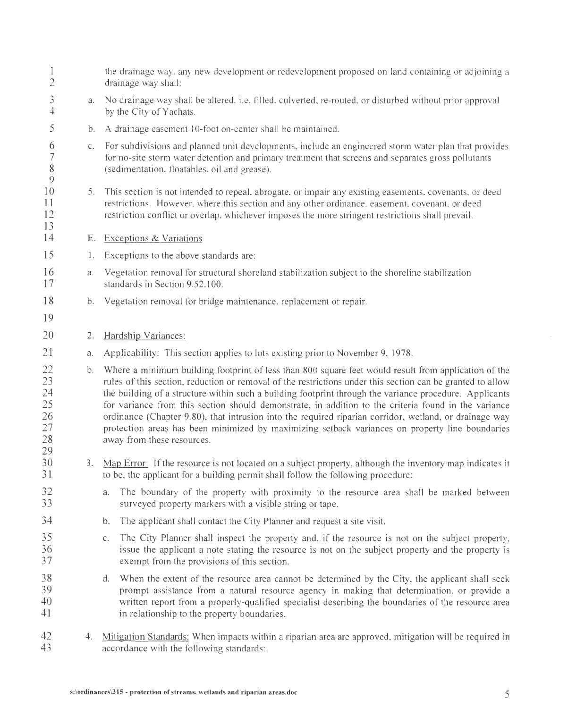| 1<br>$\overline{2}$                          |    | the drainage way, any new development or redevelopment proposed on land containing or adjoining a<br>drainage way shall:                                                                                                                                                                                                                                                                                                                                                                                                                                                                                                                                                         |
|----------------------------------------------|----|----------------------------------------------------------------------------------------------------------------------------------------------------------------------------------------------------------------------------------------------------------------------------------------------------------------------------------------------------------------------------------------------------------------------------------------------------------------------------------------------------------------------------------------------------------------------------------------------------------------------------------------------------------------------------------|
| $\mathfrak{Z}$<br>$\overline{4}$             | a. | No drainage way shall be altered, i.e. filled, culverted, re-routed, or disturbed without prior approval<br>by the City of Yachats.                                                                                                                                                                                                                                                                                                                                                                                                                                                                                                                                              |
| 5                                            | b. | A drainage easement 10-foot on-center shall be maintained.                                                                                                                                                                                                                                                                                                                                                                                                                                                                                                                                                                                                                       |
| 6<br>$\overline{7}$<br>$\,$ $\,$<br>9        | C. | For subdivisions and planned unit developments, include an engineered storm water plan that provides<br>for no-site storm water detention and primary treatment that screens and separates gross pollutants<br>(sedimentation, floatables, oil and grease).                                                                                                                                                                                                                                                                                                                                                                                                                      |
| 10<br>11<br>12<br>13                         | 5. | This section is not intended to repeal, abrogate, or impair any existing easements, covenants, or deed<br>restrictions. However, where this section and any other ordinance, easement, covenant, or deed<br>restriction conflict or overlap, whichever imposes the more stringent restrictions shall prevail.                                                                                                                                                                                                                                                                                                                                                                    |
| 14                                           | Е. | <b>Exceptions &amp; Variations</b>                                                                                                                                                                                                                                                                                                                                                                                                                                                                                                                                                                                                                                               |
| 15                                           | 1. | Exceptions to the above standards are:                                                                                                                                                                                                                                                                                                                                                                                                                                                                                                                                                                                                                                           |
| 16<br>17                                     | a. | Vegetation removal for structural shoreland stabilization subject to the shoreline stabilization<br>standards in Section 9.52.100.                                                                                                                                                                                                                                                                                                                                                                                                                                                                                                                                               |
| 18                                           | b. | Vegetation removal for bridge maintenance, replacement or repair.                                                                                                                                                                                                                                                                                                                                                                                                                                                                                                                                                                                                                |
| 19                                           |    |                                                                                                                                                                                                                                                                                                                                                                                                                                                                                                                                                                                                                                                                                  |
| 20                                           | 2. | Hardship Variances:                                                                                                                                                                                                                                                                                                                                                                                                                                                                                                                                                                                                                                                              |
| 21                                           | a. | Applicability: This section applies to lots existing prior to November 9, 1978.                                                                                                                                                                                                                                                                                                                                                                                                                                                                                                                                                                                                  |
| 22<br>23<br>24<br>25<br>26<br>27<br>28<br>29 | b. | Where a minimum building footprint of less than 800 square feet would result from application of the<br>rules of this section, reduction or removal of the restrictions under this section can be granted to allow<br>the building of a structure within such a building footprint through the variance procedure. Applicants<br>for variance from this section should demonstrate, in addition to the criteria found in the variance<br>ordinance (Chapter 9.80), that intrusion into the required riparian corridor, wetland, or drainage way<br>protection areas has been minimized by maximizing setback variances on property line boundaries<br>away from these resources. |
| 30<br>31                                     | 3. | Map Error: If the resource is not located on a subject property, although the inventory map indicates it<br>to be, the applicant for a building permit shall follow the following procedure:                                                                                                                                                                                                                                                                                                                                                                                                                                                                                     |
| 32<br>33                                     |    | The boundary of the property with proximity to the resource area shall be marked between<br>a.<br>surveyed property markers with a visible string or tape.                                                                                                                                                                                                                                                                                                                                                                                                                                                                                                                       |
| 34                                           |    | The applicant shall contact the City Planner and request a site visit.<br>b.                                                                                                                                                                                                                                                                                                                                                                                                                                                                                                                                                                                                     |
| 35<br>36<br>37                               |    | The City Planner shall inspect the property and, if the resource is not on the subject property,<br>c.<br>issue the applicant a note stating the resource is not on the subject property and the property is<br>exempt from the provisions of this section.                                                                                                                                                                                                                                                                                                                                                                                                                      |
| 38<br>39<br>40<br>41                         |    | d.<br>When the extent of the resource area cannot be determined by the City, the applicant shall seek<br>prompt assistance from a natural resource agency in making that determination, or provide a<br>written report from a properly-qualified specialist describing the boundaries of the resource area<br>in relationship to the property boundaries.                                                                                                                                                                                                                                                                                                                        |
| 42<br>43                                     | 4. | Mitigation Standards: When impacts within a riparian area are approved, mitigation will be required in<br>accordance with the following standards:                                                                                                                                                                                                                                                                                                                                                                                                                                                                                                                               |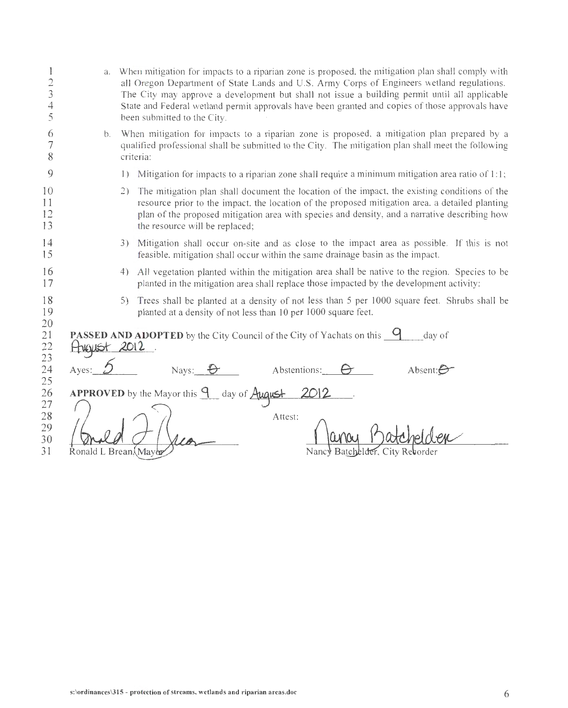| $\overline{c}$<br>3<br>4<br>5    | a.                   | When mitigation for impacts to a riparian zone is proposed, the mitigation plan shall comply with<br>all Oregon Department of State Lands and U.S. Army Corps of Engineers wetland regulations.<br>The City may approve a development but shall not issue a building permit until all applicable<br>State and Federal wetland permit approvals have been granted and copies of those approvals have<br>been submitted to the City. |
|----------------------------------|----------------------|------------------------------------------------------------------------------------------------------------------------------------------------------------------------------------------------------------------------------------------------------------------------------------------------------------------------------------------------------------------------------------------------------------------------------------|
| 6<br>8                           | b.                   | When mitigation for impacts to a riparian zone is proposed, a mitigation plan prepared by a<br>qualified professional shall be submitted to the City. The mitigation plan shall meet the following<br>criteria:                                                                                                                                                                                                                    |
| 9                                |                      | Mitigation for impacts to a riparian zone shall require a minimum mitigation area ratio of 1:1;<br>$\left  \ \right\rangle$                                                                                                                                                                                                                                                                                                        |
| 10<br>11<br>12<br>13             |                      | The mitigation plan shall document the location of the impact, the existing conditions of the<br>2)<br>resource prior to the impact. the location of the proposed mitigation area. a detailed planting<br>plan of the proposed mitigation area with species and density, and a narrative describing how<br>the resource will be replaced;                                                                                          |
| 14<br>15                         |                      | 3) Mitigation shall occur on-site and as close to the impact area as possible. If this is not<br>feasible, mitigation shall occur within the same drainage basin as the impact.                                                                                                                                                                                                                                                    |
| 16<br>17                         |                      | All vegetation planted within the mitigation area shall be native to the region. Species to be<br>4)<br>planted in the mitigation area shall replace those impacted by the development activity:                                                                                                                                                                                                                                   |
| 18<br>19                         |                      | 5) Trees shall be planted at a density of not less than 5 per 1000 square feet. Shrubs shall be<br>planted at a density of not less than 10 per 1000 square feet.                                                                                                                                                                                                                                                                  |
| 20<br>21<br>22<br>23             | Hygust 2012          | <b>PASSED AND ADOPTED</b> by the City Council of the City of Yachats on this 9<br>day of                                                                                                                                                                                                                                                                                                                                           |
| 24<br>25                         | Ayes: $\mathcal{D}$  | Nays: <del>0</del><br>Abstentions: $\Theta$<br>Absent: $\bigcirc$                                                                                                                                                                                                                                                                                                                                                                  |
| 26<br>27<br>28<br>29<br>30<br>31 | Ronald L Brean Mayer | APPROVED by the Mayor this $\frac{q}{q}$ day of $\frac{A_{\text{UQ}}}{\text{UQ}}$<br>2012<br>Attest:<br>Batchelder, City                                                                                                                                                                                                                                                                                                           |